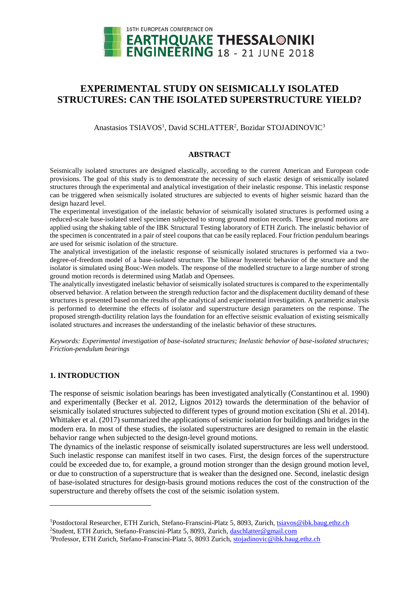

# **EXPERIMENTAL STUDY ON SEISMICALLY ISOLATED STRUCTURES: CAN THE ISOLATED SUPERSTRUCTURE YIELD?**

Anastasios TSIAVOS<sup>1</sup>, David SCHLATTER<sup>2</sup>, Bozidar STOJADINOVIC<sup>3</sup>

# **ABSTRACT**

Seismically isolated structures are designed elastically, according to the current American and European code provisions. The goal of this study is to demonstrate the necessity of such elastic design of seismically isolated structures through the experimental and analytical investigation of their inelastic response. This inelastic response can be triggered when seismically isolated structures are subjected to events of higher seismic hazard than the design hazard level.

The experimental investigation of the inelastic behavior of seismically isolated structures is performed using a reduced-scale base-isolated steel specimen subjected to strong ground motion records. These ground motions are applied using the shaking table of the IBK Structural Testing laboratory of ETH Zurich. The inelastic behavior of the specimen is concentrated in a pair of steel coupons that can be easily replaced. Four friction pendulum bearings are used for seismic isolation of the structure.

The analytical investigation of the inelastic response of seismically isolated structures is performed via a twodegree-of-freedom model of a base-isolated structure. The bilinear hysteretic behavior of the structure and the isolator is simulated using Bouc-Wen models. The response of the modelled structure to a large number of strong ground motion records is determined using Matlab and Opensees.

The analytically investigated inelastic behavior of seismically isolated structures is compared to the experimentally observed behavior. A relation between the strength reduction factor and the displacement ductility demand of these structures is presented based on the results of the analytical and experimental investigation. A parametric analysis is performed to determine the effects of isolator and superstructure design parameters on the response. The proposed strength-ductility relation lays the foundation for an effective seismic evaluation of existing seismically isolated structures and increases the understanding of the inelastic behavior of these structures.

*Keywords: Experimental investigation of base-isolated structures; Inelastic behavior of base-isolated structures; Friction-pendulum bearings*

# **1. INTRODUCTION**

 $\overline{a}$ 

The response of seismic isolation bearings has been investigated analytically (Constantinou et al. 1990) and experimentally (Becker et al. 2012, Lignos 2012) towards the determination of the behavior of seismically isolated structures subjected to different types of ground motion excitation (Shi et al. 2014). Whittaker et al. (2017) summarized the applications of seismic isolation for buildings and bridges in the modern era. In most of these studies, the isolated superstructures are designed to remain in the elastic behavior range when subjected to the design-level ground motions.

The dynamics of the inelastic response of seismically isolated superstructures are less well understood. Such inelastic response can manifest itself in two cases. First, the design forces of the superstructure could be exceeded due to, for example, a ground motion stronger than the design ground motion level, or due to construction of a superstructure that is weaker than the designed one. Second, inelastic design of base-isolated structures for design-basis ground motions reduces the cost of the construction of the superstructure and thereby offsets the cost of the seismic isolation system.

<sup>1</sup>Postdoctoral Researcher, ETH Zurich, Stefano-Franscini-Platz 5, 8093, Zurich, [tsiavos@ibk.baug.ethz.ch](mailto:tsiavos@ibk.baug.ethz.ch)

<sup>2</sup>Student, ETH Zurich, Stefano-Franscini-Platz 5, 8093, Zurich, [daschlatter@gmail.com](mailto:daschlatter@gmail.com)

<sup>&</sup>lt;sup>3</sup>Professor, ETH Zurich, Stefano-Franscini-Platz 5, 8093 Zurich[, stojadinovic@ibk.baug.ethz.ch](mailto:stojadinovic@ibk.baug.ethz.ch)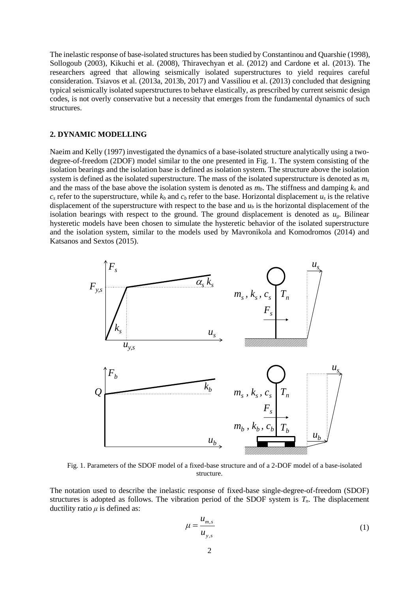The inelastic response of base-isolated structures has been studied by Constantinou and Quarshie (1998), Sollogoub (2003), Kikuchi et al. (2008), Thiravechyan et al. (2012) and Cardone et al. (2013). The researchers agreed that allowing seismically isolated superstructures to yield requires careful consideration. Tsiavos et al. (2013a, 2013b, 2017) and Vassiliou et al. (2013) concluded that designing typical seismically isolated superstructures to behave elastically, as prescribed by current seismic design codes, is not overly conservative but a necessity that emerges from the fundamental dynamics of such structures.

#### **2. DYNAMIC MODELLING**

Naeim and Kelly (1997) investigated the dynamics of a base-isolated structure analytically using a twodegree-of-freedom (2DOF) model similar to the one presented in Fig. 1. The system consisting of the isolation bearings and the isolation base is defined as isolation system. The structure above the isolation system is defined as the isolated superstructure. The mass of the isolated superstructure is denoted as *m<sup>s</sup>* and the mass of the base above the isolation system is denoted as  $m_b$ . The stiffness and damping  $k_s$  and  $c_s$  refer to the superstructure, while  $k_b$  and  $c_b$  refer to the base. Horizontal displacement  $u_s$  is the relative displacement of the superstructure with respect to the base and  $u<sub>b</sub>$  is the horizontal displacement of the isolation bearings with respect to the ground. The ground displacement is denoted as  $u<sub>g</sub>$ . Bilinear hysteretic models have been chosen to simulate the hysteretic behavior of the isolated superstructure and the isolation system, similar to the models used by Mavronikola and Komodromos (2014) and Katsanos and Sextos (2015).



Fig. 1. Parameters of the SDOF model of a fixed-base structure and of a 2-DOF model of a base-isolated structure.

The notation used to describe the inelastic response of fixed-base single-degree-of-freedom (SDOF) structures is adopted as follows. The vibration period of the SDOF system is  $T<sub>n</sub>$ . The displacement ductility ratio  $\mu$  is defined as:

$$
\mu = \frac{u_{m,s}}{u_{y,s}}\tag{1}
$$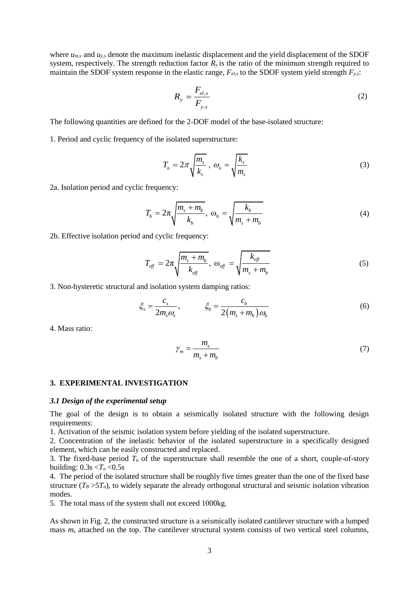where *um,s* and *uy,s* denote the maximum inelastic displacement and the yield displacement of the SDOF system, respectively. The strength reduction factor  $R<sub>y</sub>$  is the ratio of the minimum strength required to maintain the SDOF system response in the elastic range, *Fel,s* to the SDOF system yield strength *Fy,s*:

$$
R_{y} = \frac{F_{el,s}}{F_{y,s}}
$$
 (2)

The following quantities are defined for the 2-DOF model of the base-isolated structure:

1. Period and cyclic frequency of the isolated superstructure:

$$
T_n = 2\pi \sqrt{\frac{m_s}{k_s}}, \ \omega_n = \sqrt{\frac{k_s}{m_s}}
$$
 (3)

2a. Isolation period and cyclic frequency:

$$
T_b = 2\pi \sqrt{\frac{m_s + m_b}{k_b}}, \ \omega_b = \sqrt{\frac{k_b}{m_s + m_b}}
$$
 (4)

2b. Effective isolation period and cyclic frequency:

$$
T_{\text{eff}} = 2\pi \sqrt{\frac{m_s + m_b}{k_{\text{eff}}}}, \ \omega_{\text{eff}} = \sqrt{\frac{k_{\text{eff}}}{m_s + m_b}}
$$
(5)

3. Non-hysteretic structural and isolation system damping ratios:<br> $\varepsilon = \frac{c_s}{c} = \frac{c_b}{c}$ 

$$
\xi_s = \frac{c_s}{2m_s \omega_s}, \qquad \xi_b = \frac{c_b}{2(m_s + m_b) \omega_b} \tag{6}
$$

4. Mass ratio:

$$
\gamma_m = \frac{m_s}{m_s + m_b} \tag{7}
$$

#### **3. EXPERIMENTAL INVESTIGATION**

#### *3.1 Design of the experimental setup*

The goal of the design is to obtain a seismically isolated structure with the following design requirements:

1. Activation of the seismic isolation system before yielding of the isolated superstructure.

2. Concentration of the inelastic behavior of the isolated superstructure in a specifically designed element, which can be easily constructed and replaced.

3. The fixed-base period  $T<sub>n</sub>$  of the superstructure shall resemble the one of a short, couple-of-story building:  $0.3s < T_n < 0.5s$ 

4. The period of the isolated structure shall be roughly five times greater than the one of the fixed base structure  $(T_B > 5T_n)$ , to widely separate the already orthogonal structural and seismic isolation vibration modes.

5. The total mass of the system shall not exceed 1000kg.

As shown in Fig. 2, the constructed structure is a seismically isolated cantilever structure with a lumped mass  $m_s$  attached on the top. The cantilever structural system consists of two vertical steel columns,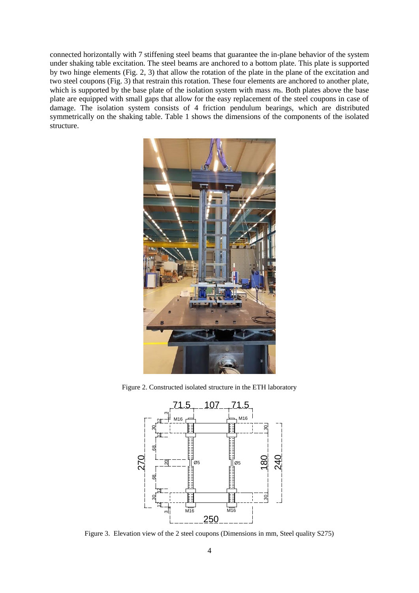connected horizontally with 7 stiffening steel beams that guarantee the in-plane behavior of the system under shaking table excitation. The steel beams are anchored to a bottom plate. This plate is supported by two hinge elements (Fig. 2, 3) that allow the rotation of the plate in the plane of the excitation and two steel coupons (Fig. 3) that restrain this rotation. These four elements are anchored to another plate, which is supported by the base plate of the isolation system with mass  $m_b$ . Both plates above the base plate are equipped with small gaps that allow for the easy replacement of the steel coupons in case of damage. The isolation system consists of 4 friction pendulum bearings, which are distributed symmetrically on the shaking table. Table 1 shows the dimensions of the components of the isolated structure.



Figure 2. Constructed isolated structure in the ETH laboratory



Figure 3. Elevation view of the 2 steel coupons (Dimensions in mm, Steel quality S275)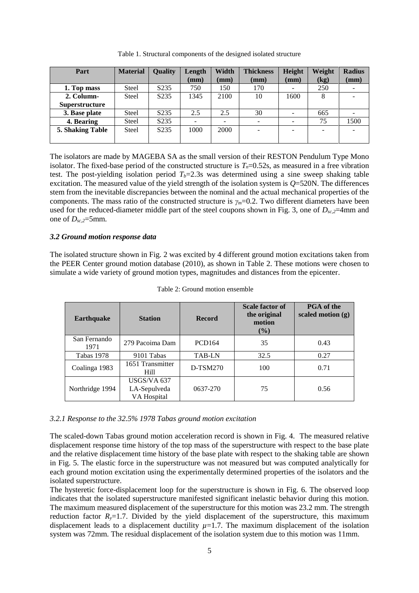| Part                  | <b>Material</b> | <b>Quality</b>    | Length          | Width           | <b>Thickness</b> | Height | Weight | <b>Radius</b> |
|-----------------------|-----------------|-------------------|-----------------|-----------------|------------------|--------|--------|---------------|
|                       |                 |                   | $(\mathbf{mm})$ | $(\mathbf{mm})$ | (mm)             | (mm)   | (kg)   | (mm)          |
| 1. Top mass           | <b>Steel</b>    | S <sub>2</sub> 35 | 750             | 150             | 170              |        | 250    |               |
| 2. Column-            | <b>Steel</b>    | S <sub>2</sub> 35 | 1345            | 2100            | 10               | 1600   | 8      |               |
| <b>Superstructure</b> |                 |                   |                 |                 |                  |        |        |               |
| 3. Base plate         | <b>Steel</b>    | S <sub>2</sub> 35 | 2.5             | 2.5             | 30               |        | 665    |               |
| 4. Bearing            | <b>Steel</b>    | S <sub>2</sub> 35 |                 |                 |                  |        | 75     | 1500          |
| 5. Shaking Table      | <b>Steel</b>    | S <sub>2</sub> 35 | 1000            | 2000            |                  |        |        |               |
|                       |                 |                   |                 |                 |                  |        |        |               |

Table 1. Structural components of the designed isolated structure

The isolators are made by MAGEBA SA as the small version of their RESTON Pendulum Type Mono isolator. The fixed-base period of the constructed structure is  $T<sub>n</sub>=0.52$ s, as measured in a free vibration test. The post-yielding isolation period  $T_b=2.3$ s was determined using a sine sweep shaking table excitation. The measured value of the yield strength of the isolation system is *Q*=520N. The differences stem from the inevitable discrepancies between the nominal and the actual mechanical properties of the components. The mass ratio of the constructed structure is *γm*=0.2. Two different diameters have been used for the reduced-diameter middle part of the steel coupons shown in Fig. 3, one of *Dsc,2*=4mm and one of  $D_{sc,2}=5$ mm.

# *3.2 Ground motion response data*

The isolated structure shown in Fig. 2 was excited by 4 different ground motion excitations taken from the PEER Center ground motion database (2010), as shown in Table 2. These motions were chosen to simulate a wide variety of ground motion types, magnitudes and distances from the epicenter.

| <b>Earthquake</b>    | <b>Station</b>                             | <b>Record</b> | Scale factor of<br>the original<br>motion<br>$(\%)$ | <b>PGA</b> of the<br>scaled motion $(g)$ |  |
|----------------------|--------------------------------------------|---------------|-----------------------------------------------------|------------------------------------------|--|
| San Fernando<br>1971 | 279 Pacoima Dam                            | <b>PCD164</b> | 35                                                  | 0.43                                     |  |
| <b>Tabas 1978</b>    | 9101 Tabas                                 | <b>TAB-LN</b> | 32.5                                                | 0.27                                     |  |
| Coalinga 1983        | 1651 Transmitter<br>Hill                   | D-TSM270      | 100                                                 | 0.71                                     |  |
| Northridge 1994      | USGS/VA 637<br>LA-Sepulveda<br>VA Hospital | 0637-270      | 75                                                  | 0.56                                     |  |

Table 2: Ground motion ensemble

#### *3.2.1 Response to the 32.5% 1978 Tabas ground motion excitation*

The scaled-down Tabas ground motion acceleration record is shown in Fig. 4. The measured relative displacement response time history of the top mass of the superstructure with respect to the base plate and the relative displacement time history of the base plate with respect to the shaking table are shown in Fig. 5. The elastic force in the superstructure was not measured but was computed analytically for each ground motion excitation using the experimentally determined properties of the isolators and the isolated superstructure.

The hysteretic force-displacement loop for the superstructure is shown in Fig. 6. The observed loop indicates that the isolated superstructure manifested significant inelastic behavior during this motion. The maximum measured displacement of the superstructure for this motion was 23.2 mm. The strength reduction factor  $R_y=1.7$ . Divided by the yield displacement of the superstructure, this maximum displacement leads to a displacement ductility  $\mu$ =1.7. The maximum displacement of the isolation system was 72mm. The residual displacement of the isolation system due to this motion was 11mm.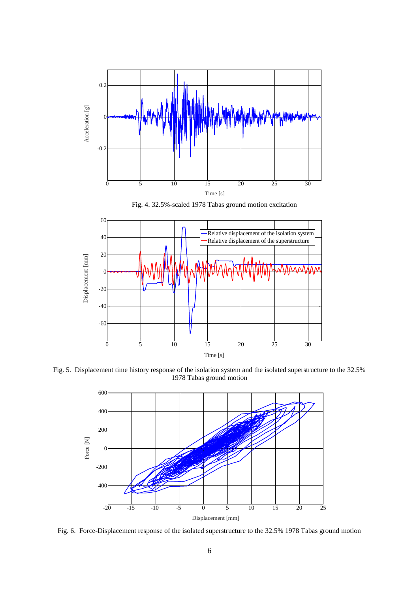





Fig. 5. Displacement time history response of the isolation system and the isolated superstructure to the 32.5% 1978 Tabas ground motion



Fig. 6. Force-Displacement response of the isolated superstructure to the 32.5% 1978 Tabas ground motion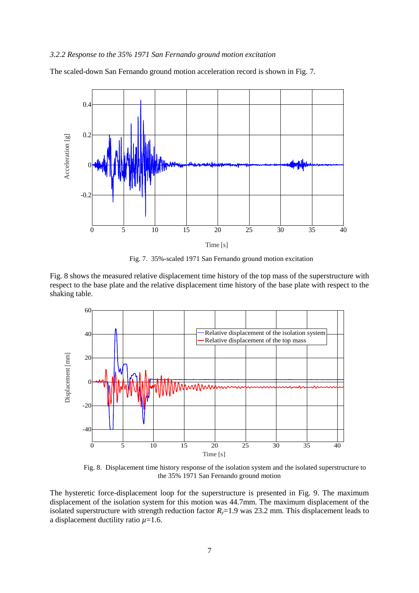#### *3.2.2 Response to the 35% 1971 San Fernando ground motion excitation*

The scaled-down San Fernando ground motion acceleration record is shown in Fig. 7.



Fig. 7. 35%-scaled 1971 San Fernando ground motion excitation

Fig. 8 shows the measured relative displacement time history of the top mass of the superstructure with respect to the base plate and the relative displacement time history of the base plate with respect to the shaking table.



 Fig. 8. Displacement time history response of the isolation system and the isolated superstructure to the 35% 1971 San Fernando ground motion

The hysteretic force-displacement loop for the superstructure is presented in Fig. 9. The maximum displacement of the isolation system for this motion was 44.7mm. The maximum displacement of the isolated superstructure with strength reduction factor  $R<sub>y</sub>=1.9$  was 23.2 mm. This displacement leads to a displacement ductility ratio *µ*=1.6.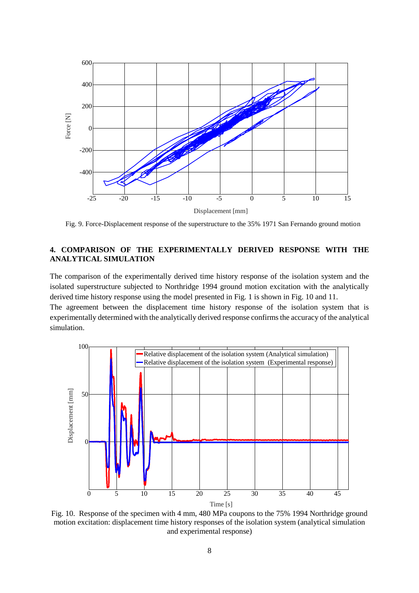

Fig. 9. Force-Displacement response of the superstructure to the 35% 1971 San Fernando ground motion

# **4. COMPARISON OF THE EXPERIMENTALLY DERIVED RESPONSE WITH THE ANALYTICAL SIMULATION**

The comparison of the experimentally derived time history response of the isolation system and the isolated superstructure subjected to Northridge 1994 ground motion excitation with the analytically derived time history response using the model presented in Fig. 1 is shown in Fig. 10 and 11.

The agreement between the displacement time history response of the isolation system that is experimentally determined with the analytically derived response confirms the accuracy of the analytical simulation.



Fig. 10. Response of the specimen with 4 mm, 480 MPa coupons to the 75% 1994 Northridge ground motion excitation: displacement time history responses of the isolation system (analytical simulation and experimental response)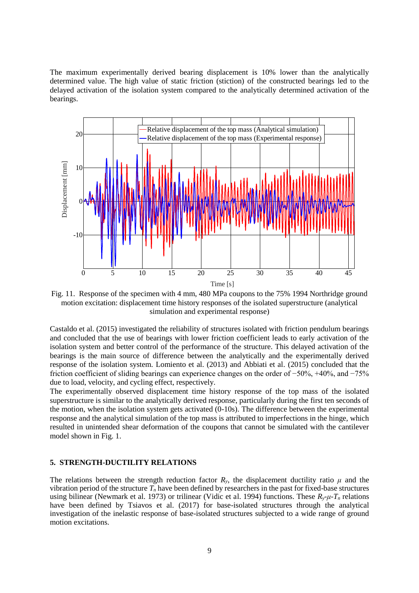The maximum experimentally derived bearing displacement is 10% lower than the analytically determined value. The high value of static friction (stiction) of the constructed bearings led to the delayed activation of the isolation system compared to the analytically determined activation of the bearings.



Fig. 11. Response of the specimen with 4 mm, 480 MPa coupons to the 75% 1994 Northridge ground motion excitation: displacement time history responses of the isolated superstructure (analytical simulation and experimental response)

Castaldo et al. (2015) investigated the reliability of structures isolated with friction pendulum bearings and concluded that the use of bearings with lower friction coefficient leads to early activation of the isolation system and better control of the performance of the structure. This delayed activation of the bearings is the main source of difference between the analytically and the experimentally derived response of the isolation system. Lomiento et al. (2013) and Abbiati et al. (2015) concluded that the friction coefficient of sliding bearings can experience changes on the order of −50%, +40%, and −75% due to load, velocity, and cycling effect, respectively.

The experimentally observed displacement time history response of the top mass of the isolated superstructure is similar to the analytically derived response, particularly during the first ten seconds of the motion, when the isolation system gets activated (0-10s). The difference between the experimental response and the analytical simulation of the top mass is attributed to imperfections in the hinge, which resulted in unintended shear deformation of the coupons that cannot be simulated with the cantilever model shown in Fig. 1.

# **5. STRENGTH-DUCTILITY RELATIONS**

The relations between the strength reduction factor  $R<sub>y</sub>$ , the displacement ductility ratio *μ* and the vibration period of the structure  $T<sub>n</sub>$  have been defined by researchers in the past for fixed-base structures using bilinear (Newmark et al. 1973) or trilinear (Vidic et al. 1994) functions. These *Ry-μ-T<sup>n</sup>* relations have been defined by Tsiavos et al. (2017) for base-isolated structures through the analytical investigation of the inelastic response of base-isolated structures subjected to a wide range of ground motion excitations.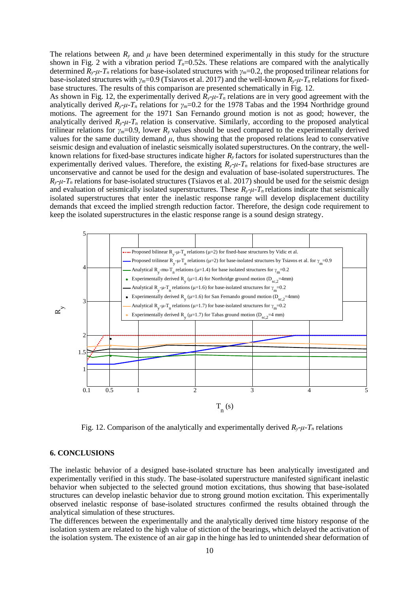The relations between  $R<sub>y</sub>$  and  $\mu$  have been determined experimentally in this study for the structure shown in Fig. 2 with a vibration period  $T<sub>n</sub>=0.52$ s. These relations are compared with the analytically determined  $R_y$ -*μ*-*T<sub>n</sub>* relations for base-isolated structures with  $\gamma_m$ =0.2, the proposed trilinear relations for base-isolated structures with *γm*=0.9 (Tsiavos et al. 2017) and the well-known *Ry*-*μ-T<sup>n</sup>* relations for fixedbase structures. The results of this comparison are presented schematically in Fig. 12.

As shown in Fig. 12, the experimentally derived  $R_y$ - $\mu$ - $T_n$  relations are in very good agreement with the analytically derived  $R_y$ - $\mu$ - $T_n$  relations for  $\gamma_m$ =0.2 for the 1978 Tabas and the 1994 Northridge ground motions. The agreement for the 1971 San Fernando ground motion is not as good; however, the analytically derived  $R_y$ -*μ*-*T<sub>n</sub>* relation is conservative. Similarly, according to the proposed analytical trilinear relations for *γm*=0.9, lower *Ry* values should be used compared to the experimentally derived values for the same ductility demand  $\mu$ , thus showing that the proposed relations lead to conservative seismic design and evaluation of inelastic seismically isolated superstructures. On the contrary, the wellknown relations for fixed-base structures indicate higher *R<sup>y</sup>* factors for isolated superstructures than the experimentally derived values. Therefore, the existing  $R_y$ - $\mu$ - $T_n$  relations for fixed-base structures are unconservative and cannot be used for the design and evaluation of base-isolated superstructures. The  $R$ <sup>*y*- $\mu$ -*T*<sub>n</sub> relations for base-isolated structures (Tsiavos et al. 2017) should be used for the seismic design</sup> and evaluation of seismically isolated superstructures. These  $R_y$ - $\mu$ - $T_n$  relations indicate that seismically isolated superstructures that enter the inelastic response range will develop displacement ductility demands that exceed the implied strength reduction factor. Therefore, the design code requirement to keep the isolated superstructures in the elastic response range is a sound design strategy.



Fig. 12. Comparison of the analytically and experimentally derived  $R_y$ - $\mu$ - $T_n$  relations

# **6. CONCLUSIONS**

The inelastic behavior of a designed base-isolated structure has been analytically investigated and experimentally verified in this study. The base-isolated superstructure manifested significant inelastic behavior when subjected to the selected ground motion excitations, thus showing that base-isolated structures can develop inelastic behavior due to strong ground motion excitation. This experimentally observed inelastic response of base-isolated structures confirmed the results obtained through the analytical simulation of these structures.

The differences between the experimentally and the analytically derived time history response of the isolation system are related to the high value of stiction of the bearings, which delayed the activation of the isolation system. The existence of an air gap in the hinge has led to unintended shear deformation of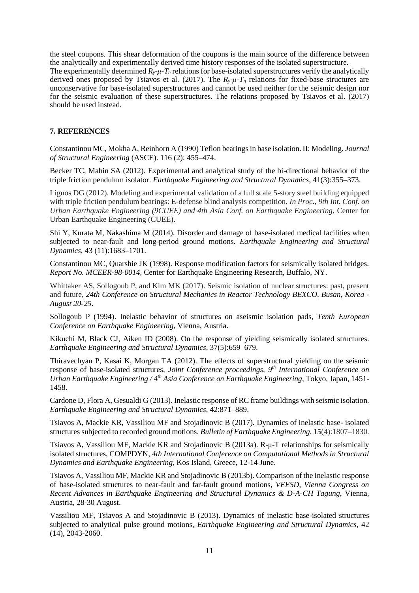the steel coupons. This shear deformation of the coupons is the main source of the difference between the analytically and experimentally derived time history responses of the isolated superstructure.

The experimentally determined  $R_y$ - $\mu$ - $T_n$  relations for base-isolated superstructures verify the analytically derived ones proposed by Tsiavos et al. (2017). The  $R_y$ - $\mu$ - $T_n$  relations for fixed-base structures are unconservative for base-isolated superstructures and cannot be used neither for the seismic design nor for the seismic evaluation of these superstructures. The relations proposed by Tsiavos et al. (2017) should be used instead.

# **7. REFERENCES**

Constantinou MC, Mokha A, Reinhorn A (1990) Teflon bearings in base isolation. II: Modeling. *Journal of Structural Engineering* (ASCE). 116 (2): 455–474.

Becker TC, Mahin SA (2012). Experimental and analytical study of the bi-directional behavior of the triple friction pendulum isolator. *Earthquake Engineering and Structural Dynamics*, 41(3):355–373.

Lignos DG (2012). Modeling and experimental validation of a full scale 5-story steel building equipped with triple friction pendulum bearings: E-defense blind analysis competition. *In Proc., 9th Int. Conf. on Urban Earthquake Engineering (9CUEE) and 4th Asia Conf. on Earthquake Engineering*, Center for Urban Earthquake Engineering (CUEE).

Shi Y, Kurata M, Nakashima M (2014). Disorder and damage of base-isolated medical facilities when subjected to near-fault and long-period ground motions. *Earthquake Engineering and Structural Dynamics,* 43 (11):1683–1701.

Constantinou MC, Quarshie JK (1998). Response modification factors for seismically isolated bridges. *Report No. MCEER-98-0014*, Center for Earthquake Engineering Research, Buffalo, NY.

Whittaker AS, Sollogoub P, and Kim MK (2017). Seismic isolation of nuclear structures: past, present and future, *24th Conference on Structural Mechanics in Reactor Technology BEXCO, Busan, Korea - August 20-25*.

Sollogoub P (1994). Inelastic behavior of structures on aseismic isolation pads, *Tenth European Conference on Earthquake Engineering*, Vienna, Austria.

Kikuchi M, Black CJ, Aiken ID (2008). On the response of yielding seismically isolated structures. *Earthquake Engineering and Structural Dynamics*, 37(5):659–679.

Thiravechyan P, Kasai K, Morgan TA (2012). The effects of superstructural yielding on the seismic response of base-isolated structures, *Joint Conference proceedings, 9 th International Conference on Urban Earthquake Engineering / 4 th Asia Conference on Earthquake Engineering*, Tokyo, Japan, 1451- 1458.

Cardone D, Flora A, Gesualdi G (2013). Inelastic response of RC frame buildings with seismic isolation. *Earthquake Engineering and Structural Dynamics*, 42:871–889.

Tsiavos A, Mackie KR, Vassiliou MF and Stojadinovic B (2017). Dynamics of inelastic base- isolated structures subjected to recorded ground motions. *Bulletin of Earthquake Engineering*, **15**(4):1807–1830.

Tsiavos A, Vassiliou MF, Mackie KR and Stojadinovic B (2013a). R-μ-T relationships for seismically isolated structures, COMPDYN*, 4th International Conference on Computational Methods in Structural Dynamics and Earthquake Engineering*, Kos Island, Greece, 12-14 June.

Tsiavos A, Vassiliou MF, Mackie KR and Stojadinovic B (2013b). Comparison of the inelastic response of base-isolated structures to near-fault and far-fault ground motions*, VEESD, Vienna Congress on Recent Advances in Earthquake Engineering and Structural Dynamics & D-A-CH Tagung*, Vienna, Austria, 28-30 August.

Vassiliou MF, Tsiavos A and Stojadinovic B (2013). Dynamics of inelastic base-isolated structures subjected to analytical pulse ground motions, *Earthquake Engineering and Structural Dynamics*, 42 (14), 2043-2060.